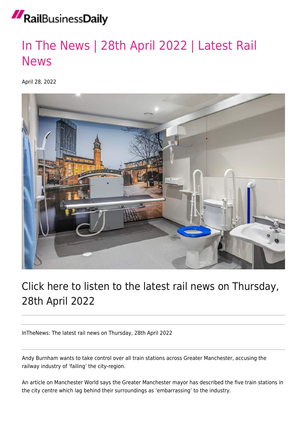## RailBusinessDaily

## [In The News | 28th April 2022 | Latest Rail](https://news.railbusinessdaily.com/in-the-news-28th-april-2022-latest-rail-news/) [News](https://news.railbusinessdaily.com/in-the-news-28th-april-2022-latest-rail-news/)

April 28, 2022



## Click here to listen to the latest rail news on Thursday, 28th April 2022

InTheNews: The latest rail news on Thursday, 28th April 2022

Andy Burnham wants to take control over all train stations across Greater Manchester, accusing the railway industry of 'failing' the city-region.

An article on Manchester World says the Greater Manchester mayor has described the five train stations in the city centre which lag behind their surroundings as 'embarrassing' to the industry.